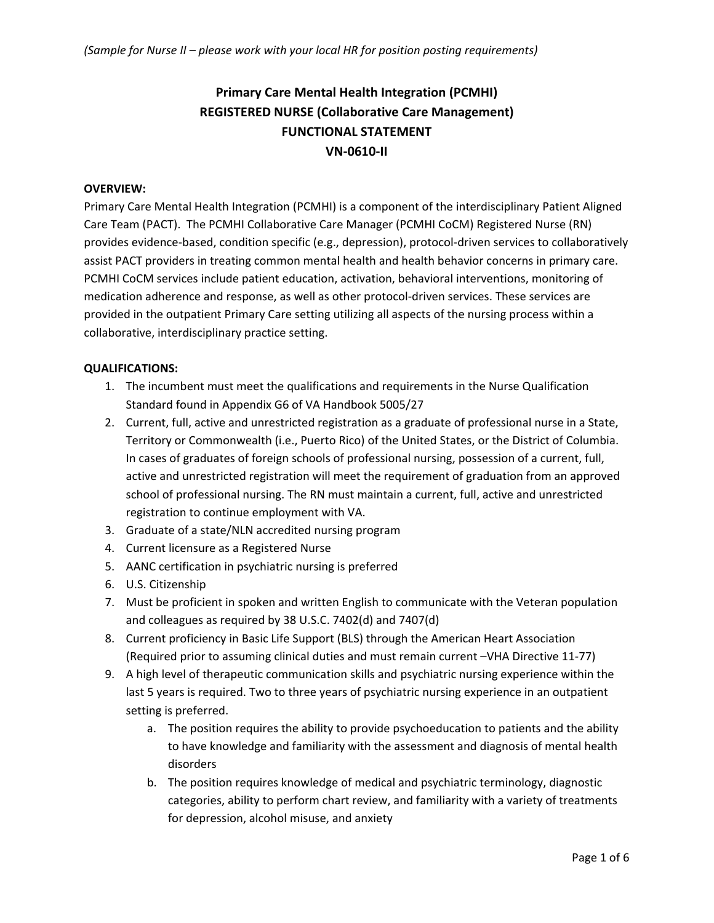# **Primary Care Mental Health Integration (PCMHI) REGISTERED NURSE (Collaborative Care Management) FUNCTIONAL STATEMENT VN-0610-II**

#### **OVERVIEW:**

Primary Care Mental Health Integration (PCMHI) is a component of the interdisciplinary Patient Aligned Care Team (PACT). The PCMHI Collaborative Care Manager (PCMHI CoCM) Registered Nurse (RN) provides evidence-based, condition specific (e.g., depression), protocol-driven services to collaboratively assist PACT providers in treating common mental health and health behavior concerns in primary care. PCMHI CoCM services include patient education, activation, behavioral interventions, monitoring of medication adherence and response, as well as other protocol-driven services. These services are provided in the outpatient Primary Care setting utilizing all aspects of the nursing process within a collaborative, interdisciplinary practice setting.

## **QUALIFICATIONS:**

- 1. The incumbent must meet the qualifications and requirements in the Nurse Qualification Standard found in Appendix G6 of VA Handbook 5005/27
- 2. Current, full, active and unrestricted registration as a graduate of professional nurse in a State, Territory or Commonwealth (i.e., Puerto Rico) of the United States, or the District of Columbia. In cases of graduates of foreign schools of professional nursing, possession of a current, full, active and unrestricted registration will meet the requirement of graduation from an approved school of professional nursing. The RN must maintain a current, full, active and unrestricted registration to continue employment with VA.
- 3. Graduate of a state/NLN accredited nursing program
- 4. Current licensure as a Registered Nurse
- 5. AANC certification in psychiatric nursing is preferred
- 6. U.S. Citizenship
- 7. Must be proficient in spoken and written English to communicate with the Veteran population and colleagues as required by 38 U.S.C. 7402(d) and 7407(d)
- 8. Current proficiency in Basic Life Support (BLS) through the American Heart Association (Required prior to assuming clinical duties and must remain current –VHA Directive 11-77)
- 9. A high level of therapeutic communication skills and psychiatric nursing experience within the last 5 years is required. Two to three years of psychiatric nursing experience in an outpatient setting is preferred.
	- a. The position requires the ability to provide psychoeducation to patients and the ability to have knowledge and familiarity with the assessment and diagnosis of mental health disorders
	- b. The position requires knowledge of medical and psychiatric terminology, diagnostic categories, ability to perform chart review, and familiarity with a variety of treatments for depression, alcohol misuse, and anxiety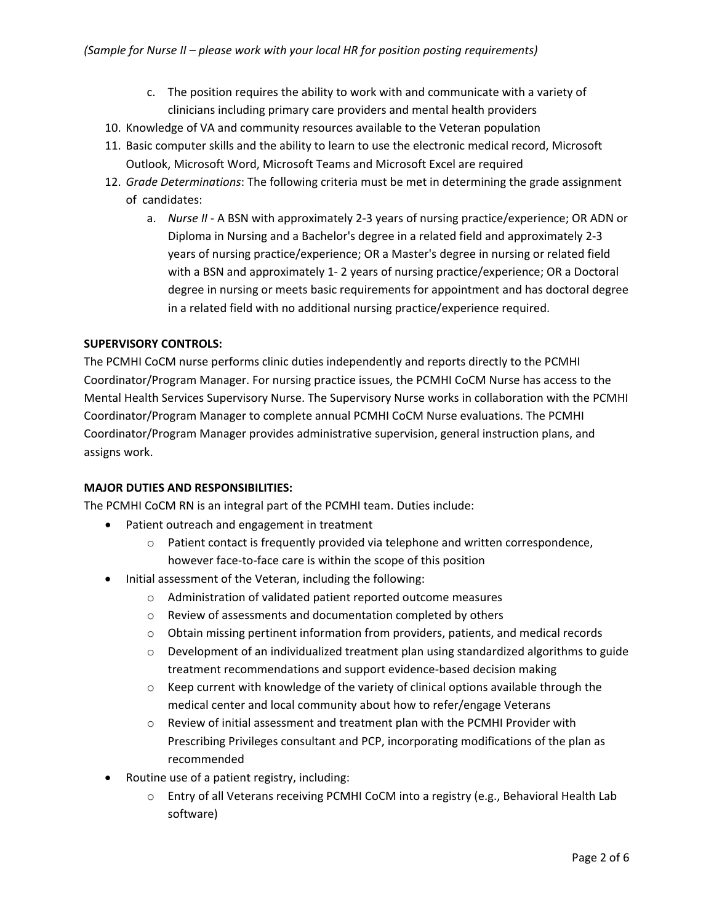- c. The position requires the ability to work with and communicate with a variety of clinicians including primary care providers and mental health providers
- 10. Knowledge of VA and community resources available to the Veteran population
- 11. Basic computer skills and the ability to learn to use the electronic medical record, Microsoft Outlook, Microsoft Word, Microsoft Teams and Microsoft Excel are required
- 12. *Grade Determinations*: The following criteria must be met in determining the grade assignment of candidates:
	- a. *Nurse II* A BSN with approximately 2-3 years of nursing practice/experience; OR ADN or Diploma in Nursing and a Bachelor's degree in a related field and approximately 2-3 years of nursing practice/experience; OR a Master's degree in nursing or related field with a BSN and approximately 1- 2 years of nursing practice/experience; OR a Doctoral degree in nursing or meets basic requirements for appointment and has doctoral degree in a related field with no additional nursing practice/experience required.

#### **SUPERVISORY CONTROLS:**

The PCMHI CoCM nurse performs clinic duties independently and reports directly to the PCMHI Coordinator/Program Manager. For nursing practice issues, the PCMHI CoCM Nurse has access to the Mental Health Services Supervisory Nurse. The Supervisory Nurse works in collaboration with the PCMHI Coordinator/Program Manager to complete annual PCMHI CoCM Nurse evaluations. The PCMHI Coordinator/Program Manager provides administrative supervision, general instruction plans, and assigns work.

#### **MAJOR DUTIES AND RESPONSIBILITIES:**

The PCMHI CoCM RN is an integral part of the PCMHI team. Duties include:

- Patient outreach and engagement in treatment
	- $\circ$  Patient contact is frequently provided via telephone and written correspondence, however face-to-face care is within the scope of this position
- Initial assessment of the Veteran, including the following:
	- o Administration of validated patient reported outcome measures
	- o Review of assessments and documentation completed by others
	- $\circ$  Obtain missing pertinent information from providers, patients, and medical records
	- $\circ$  Development of an individualized treatment plan using standardized algorithms to guide treatment recommendations and support evidence-based decision making
	- $\circ$  Keep current with knowledge of the variety of clinical options available through the medical center and local community about how to refer/engage Veterans
	- o Review of initial assessment and treatment plan with the PCMHI Provider with Prescribing Privileges consultant and PCP, incorporating modifications of the plan as recommended
- Routine use of a patient registry, including:
	- o Entry of all Veterans receiving PCMHI CoCM into a registry (e.g., Behavioral Health Lab software)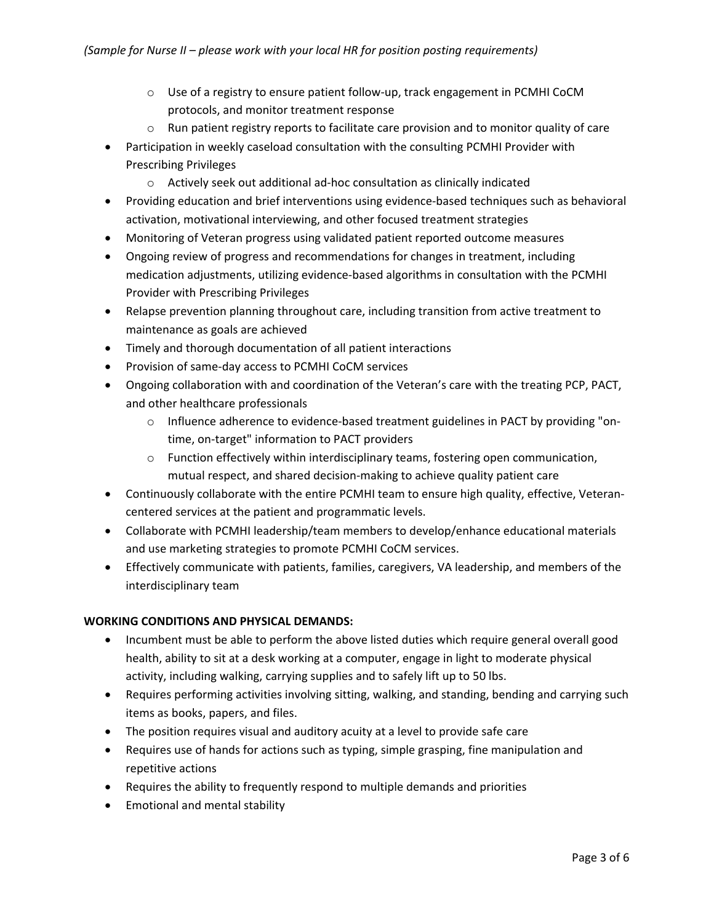- o Use of a registry to ensure patient follow-up, track engagement in PCMHI CoCM protocols, and monitor treatment response
- o Run patient registry reports to facilitate care provision and to monitor quality of care
- Participation in weekly caseload consultation with the consulting PCMHI Provider with Prescribing Privileges
	- o Actively seek out additional ad-hoc consultation as clinically indicated
- Providing education and brief interventions using evidence-based techniques such as behavioral activation, motivational interviewing, and other focused treatment strategies
- Monitoring of Veteran progress using validated patient reported outcome measures
- Ongoing review of progress and recommendations for changes in treatment, including medication adjustments, utilizing evidence-based algorithms in consultation with the PCMHI Provider with Prescribing Privileges
- Relapse prevention planning throughout care, including transition from active treatment to maintenance as goals are achieved
- Timely and thorough documentation of all patient interactions
- Provision of same-day access to PCMHI CoCM services
- Ongoing collaboration with and coordination of the Veteran's care with the treating PCP, PACT, and other healthcare professionals
	- o Influence adherence to evidence-based treatment guidelines in PACT by providing "ontime, on-target" information to PACT providers
	- $\circ$  Function effectively within interdisciplinary teams, fostering open communication, mutual respect, and shared decision-making to achieve quality patient care
- Continuously collaborate with the entire PCMHI team to ensure high quality, effective, Veterancentered services at the patient and programmatic levels.
- Collaborate with PCMHI leadership/team members to develop/enhance educational materials and use marketing strategies to promote PCMHI CoCM services.
- Effectively communicate with patients, families, caregivers, VA leadership, and members of the interdisciplinary team

## **WORKING CONDITIONS AND PHYSICAL DEMANDS:**

- Incumbent must be able to perform the above listed duties which require general overall good health, ability to sit at a desk working at a computer, engage in light to moderate physical activity, including walking, carrying supplies and to safely lift up to 50 lbs.
- Requires performing activities involving sitting, walking, and standing, bending and carrying such items as books, papers, and files.
- The position requires visual and auditory acuity at a level to provide safe care
- Requires use of hands for actions such as typing, simple grasping, fine manipulation and repetitive actions
- Requires the ability to frequently respond to multiple demands and priorities
- Emotional and mental stability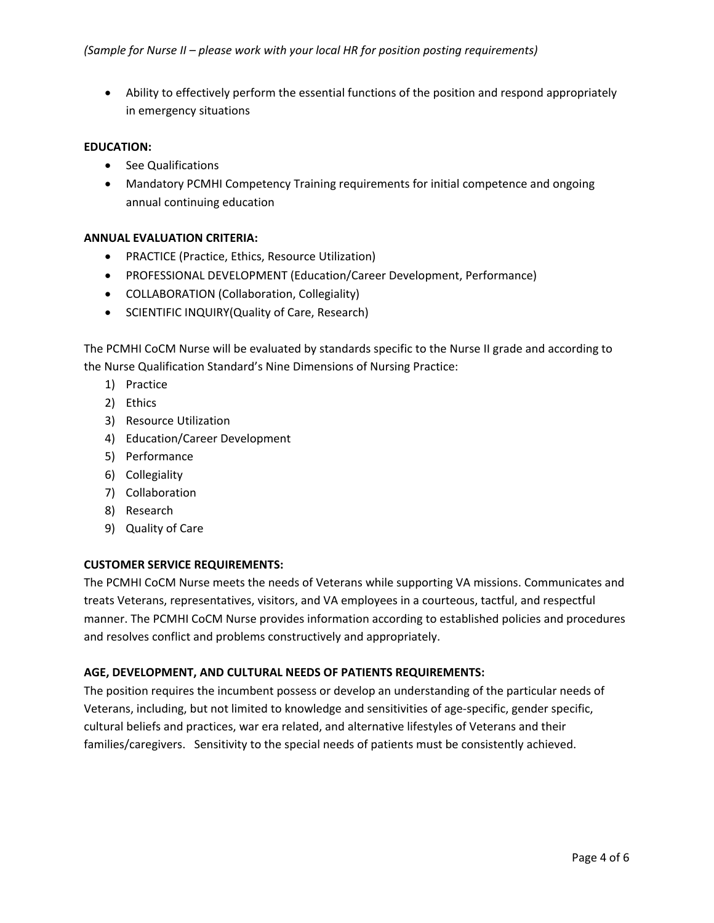• Ability to effectively perform the essential functions of the position and respond appropriately in emergency situations

#### **EDUCATION:**

- See Qualifications
- Mandatory PCMHI Competency Training requirements for initial competence and ongoing annual continuing education

## **ANNUAL EVALUATION CRITERIA:**

- PRACTICE (Practice, Ethics, Resource Utilization)
- PROFESSIONAL DEVELOPMENT (Education/Career Development, Performance)
- COLLABORATION (Collaboration, Collegiality)
- SCIENTIFIC INQUIRY(Quality of Care, Research)

The PCMHI CoCM Nurse will be evaluated by standards specific to the Nurse II grade and according to the Nurse Qualification Standard's Nine Dimensions of Nursing Practice:

- 1) Practice
- 2) Ethics
- 3) Resource Utilization
- 4) Education/Career Development
- 5) Performance
- 6) Collegiality
- 7) Collaboration
- 8) Research
- 9) Quality of Care

## **CUSTOMER SERVICE REQUIREMENTS:**

The PCMHI CoCM Nurse meets the needs of Veterans while supporting VA missions. Communicates and treats Veterans, representatives, visitors, and VA employees in a courteous, tactful, and respectful manner. The PCMHI CoCM Nurse provides information according to established policies and procedures and resolves conflict and problems constructively and appropriately.

## **AGE, DEVELOPMENT, AND CULTURAL NEEDS OF PATIENTS REQUIREMENTS:**

The position requires the incumbent possess or develop an understanding of the particular needs of Veterans, including, but not limited to knowledge and sensitivities of age-specific, gender specific, cultural beliefs and practices, war era related, and alternative lifestyles of Veterans and their families/caregivers. Sensitivity to the special needs of patients must be consistently achieved.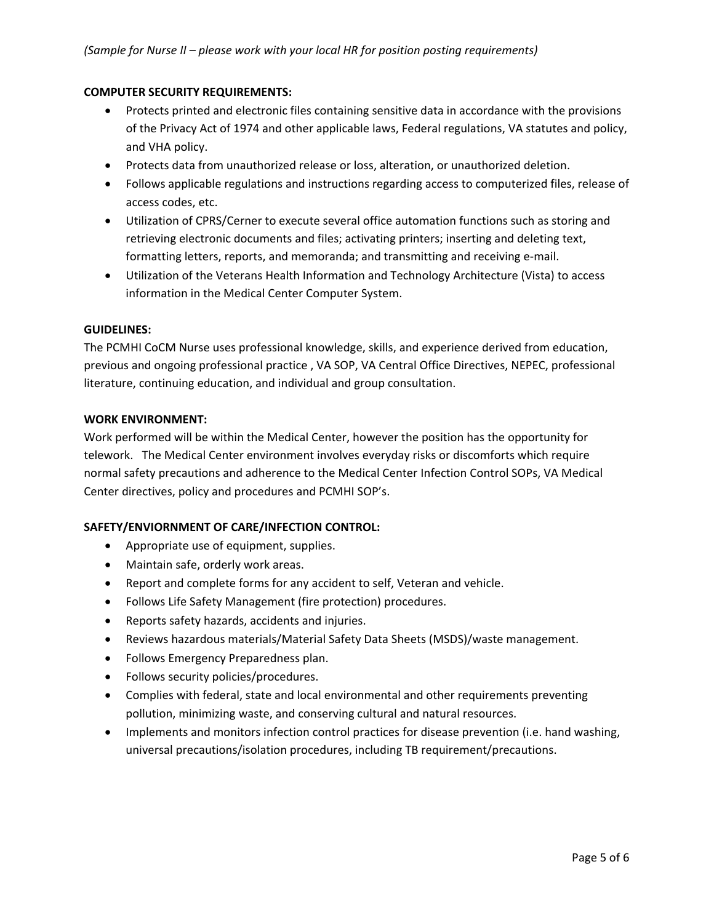## **COMPUTER SECURITY REQUIREMENTS:**

- Protects printed and electronic files containing sensitive data in accordance with the provisions of the Privacy Act of 1974 and other applicable laws, Federal regulations, VA statutes and policy, and VHA policy.
- Protects data from unauthorized release or loss, alteration, or unauthorized deletion.
- Follows applicable regulations and instructions regarding access to computerized files, release of access codes, etc.
- Utilization of CPRS/Cerner to execute several office automation functions such as storing and retrieving electronic documents and files; activating printers; inserting and deleting text, formatting letters, reports, and memoranda; and transmitting and receiving e-mail.
- Utilization of the Veterans Health Information and Technology Architecture (Vista) to access information in the Medical Center Computer System.

## **GUIDELINES:**

The PCMHI CoCM Nurse uses professional knowledge, skills, and experience derived from education, previous and ongoing professional practice , VA SOP, VA Central Office Directives, NEPEC, professional literature, continuing education, and individual and group consultation.

#### **WORK ENVIRONMENT:**

Work performed will be within the Medical Center, however the position has the opportunity for telework. The Medical Center environment involves everyday risks or discomforts which require normal safety precautions and adherence to the Medical Center Infection Control SOPs, VA Medical Center directives, policy and procedures and PCMHI SOP's.

## **SAFETY/ENVIORNMENT OF CARE/INFECTION CONTROL:**

- Appropriate use of equipment, supplies.
- Maintain safe, orderly work areas.
- Report and complete forms for any accident to self, Veteran and vehicle.
- Follows Life Safety Management (fire protection) procedures.
- Reports safety hazards, accidents and injuries.
- Reviews hazardous materials/Material Safety Data Sheets (MSDS)/waste management.
- Follows Emergency Preparedness plan.
- Follows security policies/procedures.
- Complies with federal, state and local environmental and other requirements preventing pollution, minimizing waste, and conserving cultural and natural resources.
- Implements and monitors infection control practices for disease prevention (i.e. hand washing, universal precautions/isolation procedures, including TB requirement/precautions.